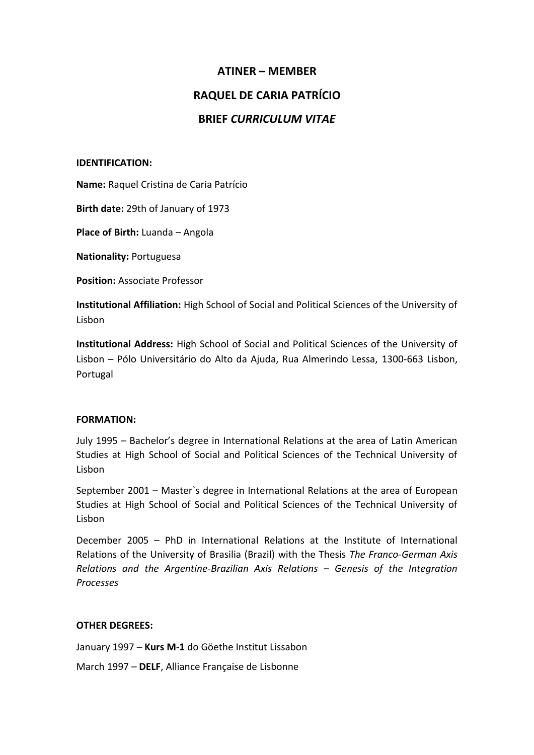### **ATINER – MEMBER**

## **RAQUEL DE CARIA PATRÍCIO**

# **BRIEF** *CURRICULUM VITAE*

#### **IDENTIFICATION:**

**Name:** Raquel Cristina de Caria Patrício

**Birth date:** 29th of January of 1973

**Place of Birth:** Luanda – Angola

**Nationality:** Portuguesa

**Position:** Associate Professor

**Institutional Affiliation:** High School of Social and Political Sciences of the University of Lisbon

**Institutional Address:** High School of Social and Political Sciences of the University of Lisbon – Pólo Universitário do Alto da Ajuda, Rua Almerindo Lessa, 1300-663 Lisbon, Portugal

#### **FORMATION:**

July 1995 – Bachelor's degree in International Relations at the area of Latin American Studies at High School of Social and Political Sciences of the Technical University of Lisbon

September 2001 – Master`s degree in International Relations at the area of European Studies at High School of Social and Political Sciences of the Technical University of Lisbon

December 2005 – PhD in International Relations at the Institute of International Relations of the University of Brasilia (Brazil) with the Thesis *The Franco-German Axis Relations and the Argentine-Brazilian Axis Relations – Genesis of the Integration Processes*

### **OTHER DEGREES:**

January 1997 – **Kurs M-1** do Göethe Institut Lissabon

March 1997 – **DELF**, Alliance Française de Lisbonne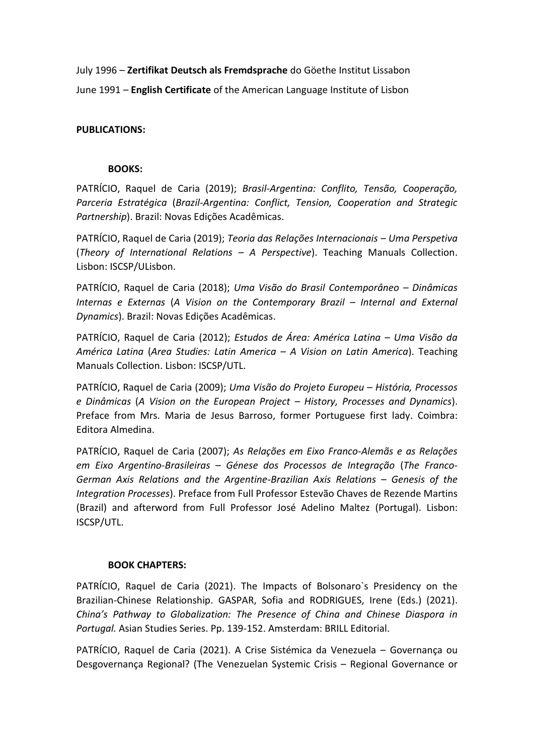July 1996 – **Zertifikat Deutsch als Fremdsprache** do Göethe Institut Lissabon June 1991 – **English Certificate** of the American Language Institute of Lisbon

### **PUBLICATIONS:**

#### **BOOKS:**

PATRÍCIO, Raquel de Caria (2019); *Brasil-Argentina: Conflito, Tensão, Cooperação, Parceria Estratégica* (*Brazil-Argentina: Conflict, Tension, Cooperation and Strategic Partnership*). Brazil: Novas Edições Acadêmicas.

PATRÍCIO, Raquel de Caria (2019); *Teoria das Relações Internacionais – Uma Perspetiva* (*Theory of International Relations – A Perspective*). Teaching Manuals Collection. Lisbon: ISCSP/ULisbon.

PATRÍCIO, Raquel de Caria (2018); *Uma Visão do Brasil Contemporâneo – Dinâmicas*  Internas e Externas (A Vision on the Contemporary Brazil - Internal and External *Dynamics*). Brazil: Novas Edições Acadêmicas.

PATRÍCIO, Raquel de Caria (2012); *Estudos de Área: América Latina – Uma Visão da América Latina* (*Area Studies: Latin America – A Vision on Latin America*). Teaching Manuals Collection. Lisbon: ISCSP/UTL.

PATRÍCIO, Raquel de Caria (2009); *Uma Visão do Projeto Europeu – História, Processos e Dinâmicas* (*A Vision on the European Project – History, Processes and Dynamics*). Preface from Mrs. Maria de Jesus Barroso, former Portuguese first lady. Coimbra: Editora Almedina.

PATRÍCIO, Raquel de Caria (2007); *As Relações em Eixo Franco-Alemãs e as Relações em Eixo Argentino-Brasileiras – Génese dos Processos de Integração* (*The Franco-German Axis Relations and the Argentine-Brazilian Axis Relations – Genesis of the Integration Processes*). Preface from Full Professor Estevão Chaves de Rezende Martins (Brazil) and afterword from Full Professor José Adelino Maltez (Portugal). Lisbon: ISCSP/UTL.

#### **BOOK CHAPTERS:**

PATRÍCIO, Raquel de Caria (2021). The Impacts of Bolsonaro`s Presidency on the Brazilian-Chinese Relationship. GASPAR, Sofia and RODRIGUES, Irene (Eds.) (2021). *China's Pathway to Globalization: The Presence of China and Chinese Diaspora in Portugal.* Asian Studies Series. Pp. 139-152. Amsterdam: BRILL Editorial.

PATRÍCIO, Raquel de Caria (2021). A Crise Sistémica da Venezuela – Governança ou Desgovernança Regional? (The Venezuelan Systemic Crisis – Regional Governance or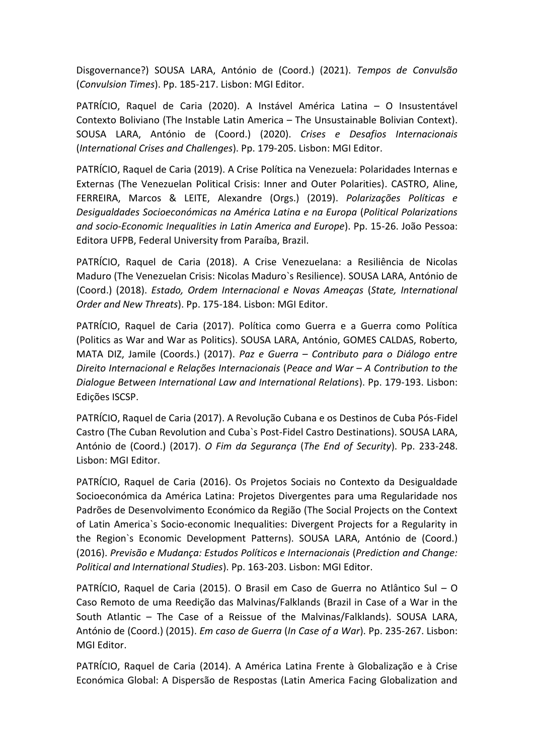Disgovernance?) SOUSA LARA, António de (Coord.) (2021). *Tempos de Convulsão* (*Convulsion Times*). Pp. 185-217. Lisbon: MGI Editor.

PATRÍCIO, Raquel de Caria (2020). A Instável América Latina – O Insustentável Contexto Boliviano (The Instable Latin America – The Unsustainable Bolivian Context). SOUSA LARA, António de (Coord.) (2020). *Crises e Desafios Internacionais* (*International Crises and Challenges*). Pp. 179-205. Lisbon: MGI Editor.

PATRÍCIO, Raquel de Caria (2019). A Crise Política na Venezuela: Polaridades Internas e Externas (The Venezuelan Political Crisis: Inner and Outer Polarities). CASTRO, Aline, FERREIRA, Marcos & LEITE, Alexandre (Orgs.) (2019). *Polarizações Políticas e Desigualdades Socioeconómicas na América Latina e na Europa* (*Political Polarizations and socio-Economic Inequalities in Latin America and Europe*). Pp. 15-26. João Pessoa: Editora UFPB, Federal University from Paraíba, Brazil.

PATRÍCIO, Raquel de Caria (2018). A Crise Venezuelana: a Resiliência de Nicolas Maduro (The Venezuelan Crisis: Nicolas Maduro`s Resilience). SOUSA LARA, António de (Coord.) (2018). *Estado, Ordem Internacional e Novas Ameaças* (*State, International Order and New Threats*). Pp. 175-184. Lisbon: MGI Editor.

PATRÍCIO, Raquel de Caria (2017). Política como Guerra e a Guerra como Política (Politics as War and War as Politics). SOUSA LARA, António, GOMES CALDAS, Roberto, MATA DIZ, Jamile (Coords.) (2017). *Paz e Guerra – Contributo para o Diálogo entre Direito Internacional e Relações Internacionais* (*Peace and War – A Contribution to the Dialogue Between International Law and International Relations*). Pp. 179-193. Lisbon: Edições ISCSP.

PATRÍCIO, Raquel de Caria (2017). A Revolução Cubana e os Destinos de Cuba Pós-Fidel Castro (The Cuban Revolution and Cuba`s Post-Fidel Castro Destinations). SOUSA LARA, António de (Coord.) (2017). *O Fim da Segurança* (*The End of Security*). Pp. 233-248. Lisbon: MGI Editor.

PATRÍCIO, Raquel de Caria (2016). Os Projetos Sociais no Contexto da Desigualdade Socioeconómica da América Latina: Projetos Divergentes para uma Regularidade nos Padrões de Desenvolvimento Económico da Região (The Social Projects on the Context of Latin America`s Socio-economic Inequalities: Divergent Projects for a Regularity in the Region`s Economic Development Patterns). SOUSA LARA, António de (Coord.) (2016). *Previsão e Mudança: Estudos Políticos e Internacionais* (*Prediction and Change: Political and International Studies*). Pp. 163-203. Lisbon: MGI Editor.

PATRÍCIO, Raquel de Caria (2015). O Brasil em Caso de Guerra no Atlântico Sul – O Caso Remoto de uma Reedição das Malvinas/Falklands (Brazil in Case of a War in the South Atlantic – The Case of a Reissue of the Malvinas/Falklands). SOUSA LARA, António de (Coord.) (2015). *Em caso de Guerra* (*In Case of a War*). Pp. 235-267. Lisbon: MGI Editor.

PATRÍCIO, Raquel de Caria (2014). A América Latina Frente à Globalização e à Crise Económica Global: A Dispersão de Respostas (Latin America Facing Globalization and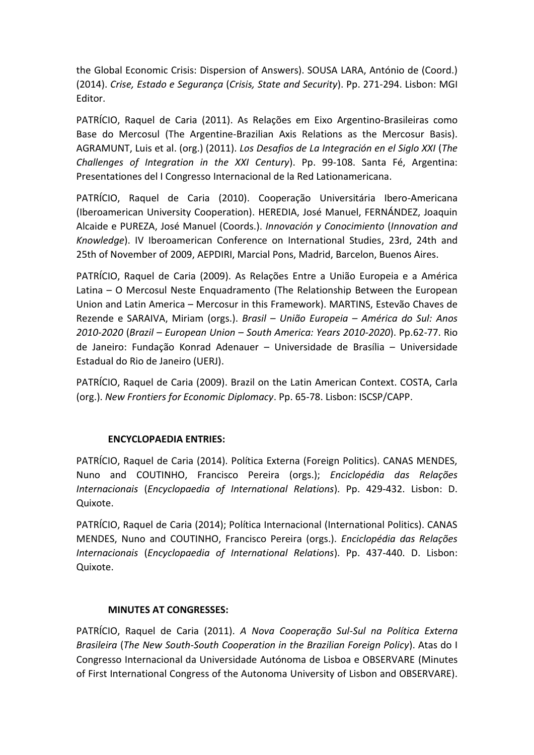the Global Economic Crisis: Dispersion of Answers). SOUSA LARA, António de (Coord.) (2014). *Crise, Estado e Segurança* (*Crisis, State and Security*). Pp. 271-294. Lisbon: MGI Editor.

PATRÍCIO, Raquel de Caria (2011). As Relações em Eixo Argentino-Brasileiras como Base do Mercosul (The Argentine-Brazilian Axis Relations as the Mercosur Basis). AGRAMUNT, Luis et al. (org.) (2011). *Los Desafios de La Integración en el Siglo XXI* (*The Challenges of Integration in the XXI Century*). Pp. 99-108. Santa Fé, Argentina: Presentationes del I Congresso Internacional de la Red Lationamericana.

PATRÍCIO, Raquel de Caria (2010). Cooperação Universitária Ibero-Americana (Iberoamerican University Cooperation). HEREDIA, José Manuel, FERNÁNDEZ, Joaquin Alcaide e PUREZA, José Manuel (Coords.). *Innovación y Conocimiento* (*Innovation and Knowledge*). IV Iberoamerican Conference on International Studies, 23rd, 24th and 25th of November of 2009, AEPDIRI, Marcial Pons, Madrid, Barcelon, Buenos Aires.

PATRÍCIO, Raquel de Caria (2009). As Relações Entre a União Europeia e a América Latina – O Mercosul Neste Enquadramento (The Relationship Between the European Union and Latin America – Mercosur in this Framework). MARTINS, Estevão Chaves de Rezende e SARAIVA, Miriam (orgs.). *Brasil – União Europeia – América do Sul: Anos 2010-2020* (*Brazil – European Union – South America: Years 2010-2020*). Pp.62-77. Rio de Janeiro: Fundação Konrad Adenauer – Universidade de Brasília – Universidade Estadual do Rio de Janeiro (UERJ).

PATRÍCIO, Raquel de Caria (2009). Brazil on the Latin American Context. COSTA, Carla (org.). *New Frontiers for Economic Diplomacy*. Pp. 65-78. Lisbon: ISCSP/CAPP.

### **ENCYCLOPAEDIA ENTRIES:**

PATRÍCIO, Raquel de Caria (2014). Política Externa (Foreign Politics). CANAS MENDES, Nuno and COUTINHO, Francisco Pereira (orgs.); *Enciclopédia das Relações Internacionais* (*Encyclopaedia of International Relations*). Pp. 429-432. Lisbon: D. Quixote.

PATRÍCIO, Raquel de Caria (2014); Política Internacional (International Politics). CANAS MENDES, Nuno and COUTINHO, Francisco Pereira (orgs.). *Enciclopédia das Relações Internacionais* (*Encyclopaedia of International Relations*). Pp. 437-440. D. Lisbon: Quixote.

### **MINUTES AT CONGRESSES:**

PATRÍCIO, Raquel de Caria (2011). *A Nova Cooperação Sul-Sul na Política Externa Brasileira* (*The New South-South Cooperation in the Brazilian Foreign Policy*). Atas do I Congresso Internacional da Universidade Autónoma de Lisboa e OBSERVARE (Minutes of First International Congress of the Autonoma University of Lisbon and OBSERVARE).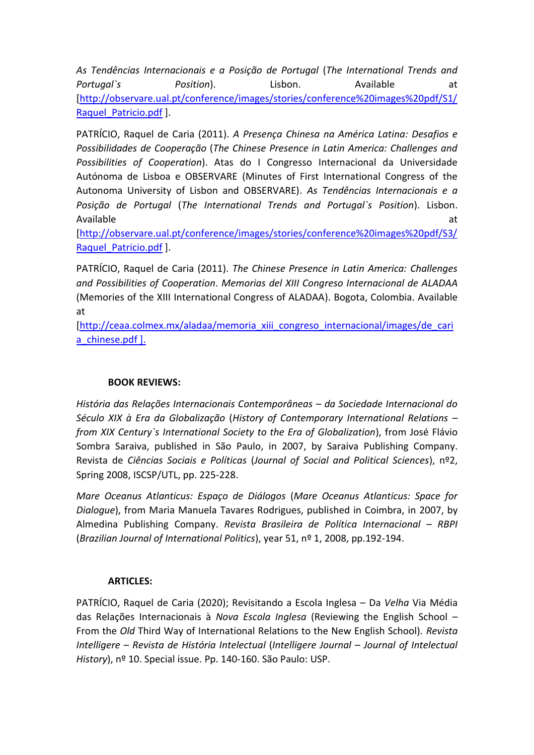*As Tendências Internacionais e a Posição de Portugal* (*The International Trends and*  Portugal`s **Position**). Clisbon. Available at [\[http://observare.ual.pt/conference/images/stories/conference%20images%20pdf/S1/](http://observare.ual.pt/conference/images/stories/conference%20images%20pdf/S1/Raquel_Patricio.pdf) [Raquel\\_Patricio.pdf](http://observare.ual.pt/conference/images/stories/conference%20images%20pdf/S1/Raquel_Patricio.pdf) ].

PATRÍCIO, Raquel de Caria (2011). *A Presença Chinesa na América Latina: Desafios e Possibilidades de Cooperação* (*The Chinese Presence in Latin America: Challenges and Possibilities of Cooperation*). Atas do I Congresso Internacional da Universidade Autónoma de Lisboa e OBSERVARE (Minutes of First International Congress of the Autonoma University of Lisbon and OBSERVARE). *As Tendências Internacionais e a Posição de Portugal* (*The International Trends and Portugal`s Position*). Lisbon. Available at the contract of the contract of the contract of the contract of the contract of the contract of the contract of the contract of the contract of the contract of the contract of the contract of the contract of t

[\[http://observare.ual.pt/conference/images/stories/conference%20images%20pdf/S3/](http://observare.ual.pt/conference/images/stories/conference%20images%20pdf/S3/Raquel_Patricio.pdf) [Raquel\\_Patricio.pdf](http://observare.ual.pt/conference/images/stories/conference%20images%20pdf/S3/Raquel_Patricio.pdf) ].

PATRÍCIO, Raquel de Caria (2011). *The Chinese Presence in Latin America: Challenges and Possibilities of Cooperation*. *Memorias del XIII Congreso Internacional de ALADAA* (Memories of the XIII International Congress of ALADAA). Bogota, Colombia. Available at

[\[http://ceaa.colmex.mx/aladaa/memoria\\_xiii\\_congreso\\_internacional/images/de\\_cari](http://ceaa.colmex.mx/aladaa/memoria_xiii_congreso_internacional/images/de_caria_chinese.pdf) [a\\_chinese.pdf](http://ceaa.colmex.mx/aladaa/memoria_xiii_congreso_internacional/images/de_caria_chinese.pdf) ].

# **BOOK REVIEWS:**

*História das Relações Internacionais Contemporâneas – da Sociedade Internacional do Século XIX à Era da Globalização* (*History of Contemporary International Relations – from XIX Century`s International Society to the Era of Globalization*), from José Flávio Sombra Saraiva, published in São Paulo, in 2007, by Saraiva Publishing Company. Revista de *Ciências Sociais e Políticas* (*Journal of Social and Political Sciences*), nº2, Spring 2008, ISCSP/UTL, pp. 225-228.

*Mare Oceanus Atlanticus: Espaço de Diálogos* (*Mare Oceanus Atlanticus: Space for Dialogue*), from Maria Manuela Tavares Rodrigues, published in Coimbra, in 2007, by Almedina Publishing Company. *Revista Brasileira de Política Internacional – RBPI* (*Brazilian Journal of International Politics*), year 51, nº 1, 2008, pp.192-194.

### **ARTICLES:**

PATRÍCIO, Raquel de Caria (2020); Revisitando a Escola Inglesa – Da *Velha* Via Média das Relações Internacionais à *Nova Escola Inglesa* (Reviewing the English School – From the *Old* Third Way of International Relations to the New English School)*. Revista Intelligere – Revista de História Intelectual* (*Intelligere Journal – Journal of Intelectual History*), nº 10. Special issue. Pp. 140-160. São Paulo: USP.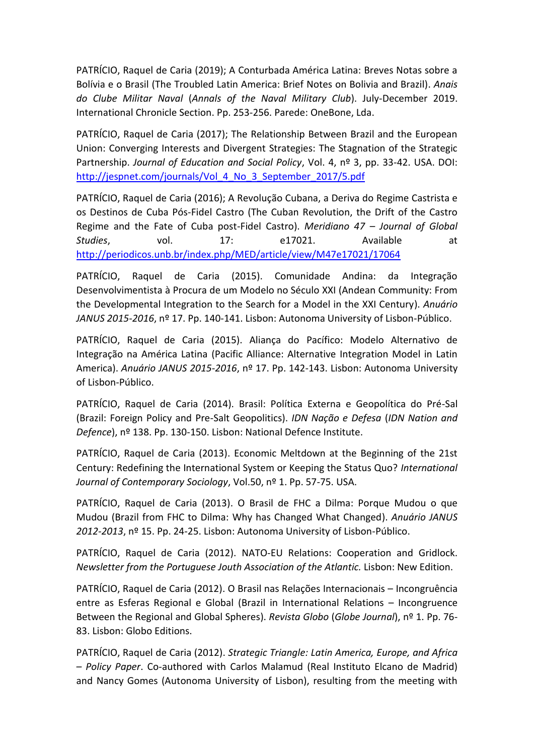PATRÍCIO, Raquel de Caria (2019); A Conturbada América Latina: Breves Notas sobre a Bolívia e o Brasil (The Troubled Latin America: Brief Notes on Bolivia and Brazil). *Anais do Clube Militar Naval* (*Annals of the Naval Military Club*). July-December 2019. International Chronicle Section. Pp. 253-256. Parede: OneBone, Lda.

PATRÍCIO, Raquel de Caria (2017); The Relationship Between Brazil and the European Union: Converging Interests and Divergent Strategies: The Stagnation of the Strategic Partnership. *Journal of Education and Social Policy*, Vol. 4, nº 3, pp. 33-42. USA. DOI: [http://jespnet.com/journals/Vol\\_4\\_No\\_3\\_September\\_2017/5.pdf](http://jespnet.com/journals/Vol_4_No_3_September_2017/5.pdf)

PATRÍCIO, Raquel de Caria (2016); A Revolução Cubana, a Deriva do Regime Castrista e os Destinos de Cuba Pós-Fidel Castro (The Cuban Revolution, the Drift of the Castro Regime and the Fate of Cuba post-Fidel Castro). *Meridiano 47 – Journal of Global Studies*, vol. 17: e17021. Available at <http://periodicos.unb.br/index.php/MED/article/view/M47e17021/17064>

PATRÍCIO, Raquel de Caria (2015). Comunidade Andina: da Integração Desenvolvimentista à Procura de um Modelo no Século XXI (Andean Community: From the Developmental Integration to the Search for a Model in the XXI Century). *Anuário JANUS 2015-2016*, nº 17. Pp. 140-141. Lisbon: Autonoma University of Lisbon-Público.

PATRÍCIO, Raquel de Caria (2015). Aliança do Pacífico: Modelo Alternativo de Integração na América Latina (Pacific Alliance: Alternative Integration Model in Latin America). *Anuário JANUS 2015-2016*, nº 17. Pp. 142-143. Lisbon: Autonoma University of Lisbon-Público.

PATRÍCIO, Raquel de Caria (2014). Brasil: Política Externa e Geopolítica do Pré-Sal (Brazil: Foreign Policy and Pre-Salt Geopolitics). *IDN Nação e Defesa* (*IDN Nation and Defence*), nº 138. Pp. 130-150. Lisbon: National Defence Institute.

PATRÍCIO, Raquel de Caria (2013). Economic Meltdown at the Beginning of the 21st Century: Redefining the International System or Keeping the Status Quo? *International Journal of Contemporary Sociology*, Vol.50, nº 1. Pp. 57-75. USA.

PATRÍCIO, Raquel de Caria (2013). O Brasil de FHC a Dilma: Porque Mudou o que Mudou (Brazil from FHC to Dilma: Why has Changed What Changed). *Anuário JANUS 2012-2013*, nº 15. Pp. 24-25. Lisbon: Autonoma University of Lisbon-Público.

PATRÍCIO, Raquel de Caria (2012). NATO-EU Relations: Cooperation and Gridlock. *Newsletter from the Portuguese Jouth Association of the Atlantic.* Lisbon: New Edition.

PATRÍCIO, Raquel de Caria (2012). O Brasil nas Relações Internacionais – Incongruência entre as Esferas Regional e Global (Brazil in International Relations – Incongruence Between the Regional and Global Spheres). *Revista Globo* (*Globe Journal*), nº 1. Pp. 76- 83. Lisbon: Globo Editions.

PATRÍCIO, Raquel de Caria (2012). *Strategic Triangle: Latin America, Europe, and Africa – Policy Paper*. Co-authored with Carlos Malamud (Real Instituto Elcano de Madrid) and Nancy Gomes (Autonoma University of Lisbon), resulting from the meeting with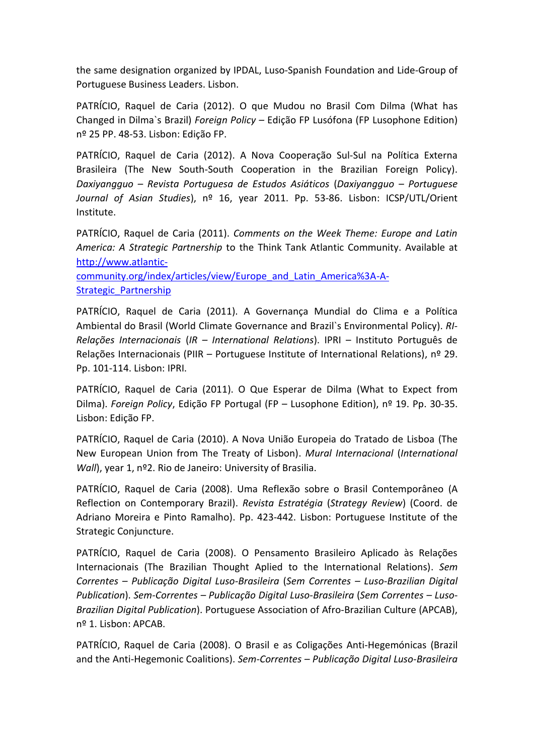the same designation organized by IPDAL, Luso-Spanish Foundation and Lide-Group of Portuguese Business Leaders. Lisbon.

PATRÍCIO, Raquel de Caria (2012). O que Mudou no Brasil Com Dilma (What has Changed in Dilma`s Brazil) *Foreign Policy –* Edição FP Lusófona (FP Lusophone Edition) nº 25 PP. 48-53. Lisbon: Edição FP.

PATRÍCIO, Raquel de Caria (2012). A Nova Cooperação Sul-Sul na Política Externa Brasileira (The New South-South Cooperation in the Brazilian Foreign Policy). *Daxiyangguo – Revista Portuguesa de Estudos Asiáticos* (*Daxiyangguo – Portuguese Journal of Asian Studies*), nº 16, year 2011. Pp. 53-86. Lisbon: ICSP/UTL/Orient Institute.

PATRÍCIO, Raquel de Caria (2011). *Comments on the Week Theme: Europe and Latin America: A Strategic Partnership* to the Think Tank Atlantic Community. Available at [http://www.atlantic-](http://www.atlantic-community.org/index/articles/view/Europe_and_Latin_America%3A-A-Strategic_Partnership)

[community.org/index/articles/view/Europe\\_and\\_Latin\\_America%3A-A-](http://www.atlantic-community.org/index/articles/view/Europe_and_Latin_America%3A-A-Strategic_Partnership)[Strategic\\_Partnership](http://www.atlantic-community.org/index/articles/view/Europe_and_Latin_America%3A-A-Strategic_Partnership)

PATRÍCIO, Raquel de Caria (2011). A Governança Mundial do Clima e a Política Ambiental do Brasil (World Climate Governance and Brazil`s Environmental Policy). *RI-Relações Internacionais* (*IR – International Relations*). IPRI – Instituto Português de Relações Internacionais (PIIR – Portuguese Institute of International Relations), nº 29. Pp. 101-114. Lisbon: IPRI.

PATRÍCIO, Raquel de Caria (2011). O Que Esperar de Dilma (What to Expect from Dilma). *Foreign Policy*, Edição FP Portugal (FP – Lusophone Edition), nº 19. Pp. 30-35. Lisbon: Edição FP.

PATRÍCIO, Raquel de Caria (2010). A Nova União Europeia do Tratado de Lisboa (The New European Union from The Treaty of Lisbon). *Mural Internacional* (*International Wall*), year 1, nº2. Rio de Janeiro: University of Brasilia.

PATRÍCIO, Raquel de Caria (2008). Uma Reflexão sobre o Brasil Contemporâneo (A Reflection on Contemporary Brazil). *Revista Estratégia* (*Strategy Review*) (Coord. de Adriano Moreira e Pinto Ramalho). Pp. 423-442. Lisbon: Portuguese Institute of the Strategic Conjuncture.

PATRÍCIO, Raquel de Caria (2008). O Pensamento Brasileiro Aplicado às Relações Internacionais (The Brazilian Thought Aplied to the International Relations). *Sem Correntes – Publicação Digital Luso-Brasileira* (*Sem Correntes – Luso-Brazilian Digital Publication*). *Sem-Correntes – Publicação Digital Luso-Brasileira* (*Sem Correntes – Luso-Brazilian Digital Publication*). Portuguese Association of Afro-Brazilian Culture (APCAB), nº 1. Lisbon: APCAB.

PATRÍCIO, Raquel de Caria (2008). O Brasil e as Coligações Anti-Hegemónicas (Brazil and the Anti-Hegemonic Coalitions). *Sem-Correntes – Publicação Digital Luso-Brasileira*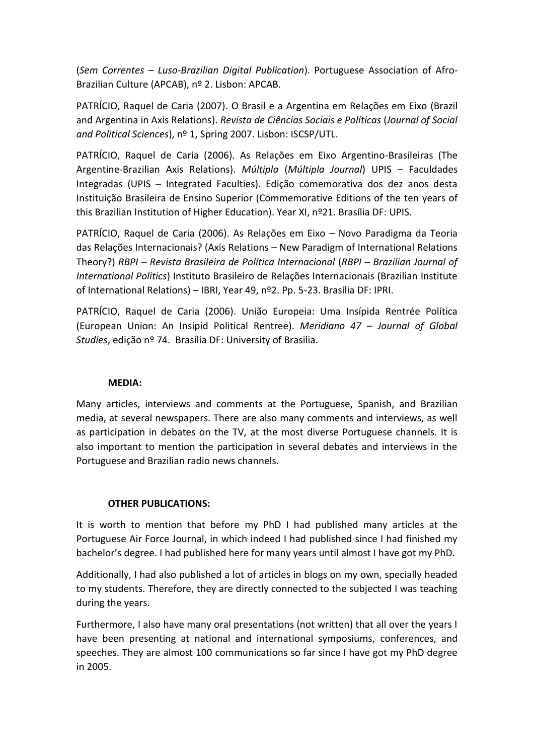(*Sem Correntes – Luso-Brazilian Digital Publication*). Portuguese Association of Afro-Brazilian Culture (APCAB), nº 2. Lisbon: APCAB.

PATRÍCIO, Raquel de Caria (2007). O Brasil e a Argentina em Relações em Eixo (Brazil and Argentina in Axis Relations). *Revista de Ciências Sociais e Políticas* (*Journal of Social and Political Sciences*), nº 1, Spring 2007. Lisbon: ISCSP/UTL.

PATRÍCIO, Raquel de Caria (2006). As Relações em Eixo Argentino-Brasileiras (The Argentine-Brazilian Axis Relations). *Múltipla* (*Múltipla Journal*) UPIS – Faculdades Integradas (UPIS – Integrated Faculties). Edição comemorativa dos dez anos desta Instituição Brasileira de Ensino Superior (Commemorative Editions of the ten years of this Brazilian Institution of Higher Education). Year XI, nº21. Brasília DF: UPIS.

PATRÍCIO, Raquel de Caria (2006). As Relações em Eixo – Novo Paradigma da Teoria das Relações Internacionais? (Axis Relations – New Paradigm of International Relations Theory?) *RBPI – Revista Brasileira de Política Internacional* (*RBPI – Brazilian Journal of International Politics*) Instituto Brasileiro de Relações Internacionais (Brazilian Institute of International Relations) – IBRI, Year 49, nº2. Pp. 5-23. Brasília DF: IPRI.

PATRÍCIO, Raquel de Caria (2006). União Europeia: Uma Insípida Rentrée Política (European Union: An Insipid Political Rentree). *Meridiano 47 – Journal of Global Studies*, edição nº 74. Brasília DF: University of Brasilia.

### **MEDIA:**

Many articles, interviews and comments at the Portuguese, Spanish, and Brazilian media, at several newspapers. There are also many comments and interviews, as well as participation in debates on the TV, at the most diverse Portuguese channels. It is also important to mention the participation in several debates and interviews in the Portuguese and Brazilian radio news channels.

### **OTHER PUBLICATIONS:**

It is worth to mention that before my PhD I had published many articles at the Portuguese Air Force Journal, in which indeed I had published since I had finished my bachelor's degree. I had published here for many years until almost I have got my PhD.

Additionally, I had also published a lot of articles in blogs on my own, specially headed to my students. Therefore, they are directly connected to the subjected I was teaching during the years.

Furthermore, I also have many oral presentations (not written) that all over the years I have been presenting at national and international symposiums, conferences, and speeches. They are almost 100 communications so far since I have got my PhD degree in 2005.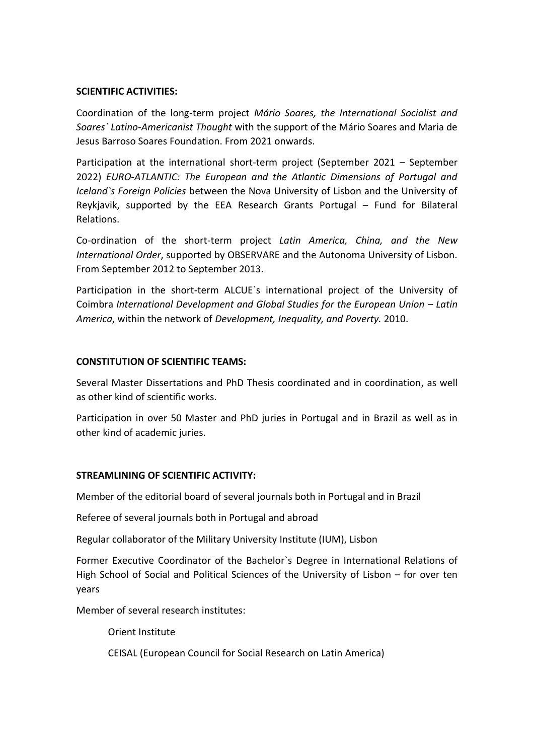#### **SCIENTIFIC ACTIVITIES:**

Coordination of the long-term project *Mário Soares, the International Socialist and Soares` Latino-Americanist Thought* with the support of the Mário Soares and Maria de Jesus Barroso Soares Foundation. From 2021 onwards.

Participation at the international short-term project (September 2021 – September 2022) *EURO-ATLANTIC: The European and the Atlantic Dimensions of Portugal and Iceland`s Foreign Policies* between the Nova University of Lisbon and the University of Reykjavik, supported by the EEA Research Grants Portugal – Fund for Bilateral Relations.

Co-ordination of the short-term project *Latin America, China, and the New International Order*, supported by OBSERVARE and the Autonoma University of Lisbon. From September 2012 to September 2013.

Participation in the short-term ALCUE`s international project of the University of Coimbra *International Development and Global Studies for the European Union – Latin America*, within the network of *Development, Inequality, and Poverty.* 2010.

#### **CONSTITUTION OF SCIENTIFIC TEAMS:**

Several Master Dissertations and PhD Thesis coordinated and in coordination, as well as other kind of scientific works.

Participation in over 50 Master and PhD juries in Portugal and in Brazil as well as in other kind of academic juries.

#### **STREAMLINING OF SCIENTIFIC ACTIVITY:**

Member of the editorial board of several journals both in Portugal and in Brazil

Referee of several journals both in Portugal and abroad

Regular collaborator of the Military University Institute (IUM), Lisbon

Former Executive Coordinator of the Bachelor`s Degree in International Relations of High School of Social and Political Sciences of the University of Lisbon – for over ten years

Member of several research institutes:

Orient Institute

CEISAL (European Council for Social Research on Latin America)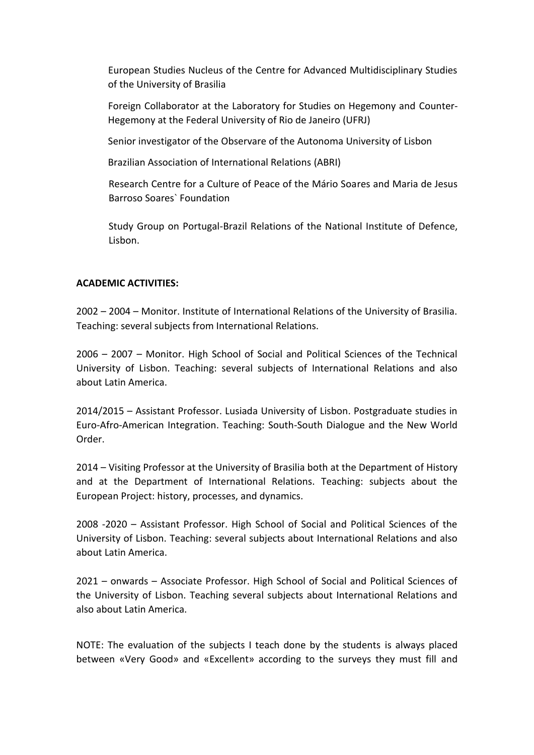European Studies Nucleus of the Centre for Advanced Multidisciplinary Studies of the University of Brasilia

Foreign Collaborator at the Laboratory for Studies on Hegemony and Counter-Hegemony at the Federal University of Rio de Janeiro (UFRJ)

Senior investigator of the Observare of the Autonoma University of Lisbon

Brazilian Association of International Relations (ABRI)

Research Centre for a Culture of Peace of the Mário Soares and Maria de Jesus Barroso Soares` Foundation

Study Group on Portugal-Brazil Relations of the National Institute of Defence, Lisbon.

#### **ACADEMIC ACTIVITIES:**

2002 – 2004 – Monitor. Institute of International Relations of the University of Brasilia. Teaching: several subjects from International Relations.

2006 – 2007 – Monitor. High School of Social and Political Sciences of the Technical University of Lisbon. Teaching: several subjects of International Relations and also about Latin America.

2014/2015 – Assistant Professor. Lusiada University of Lisbon. Postgraduate studies in Euro-Afro-American Integration. Teaching: South-South Dialogue and the New World Order.

2014 – Visiting Professor at the University of Brasilia both at the Department of History and at the Department of International Relations. Teaching: subjects about the European Project: history, processes, and dynamics.

2008 -2020 – Assistant Professor. High School of Social and Political Sciences of the University of Lisbon. Teaching: several subjects about International Relations and also about Latin America.

2021 – onwards – Associate Professor. High School of Social and Political Sciences of the University of Lisbon. Teaching several subjects about International Relations and also about Latin America.

NOTE: The evaluation of the subjects I teach done by the students is always placed between «Very Good» and «Excellent» according to the surveys they must fill and